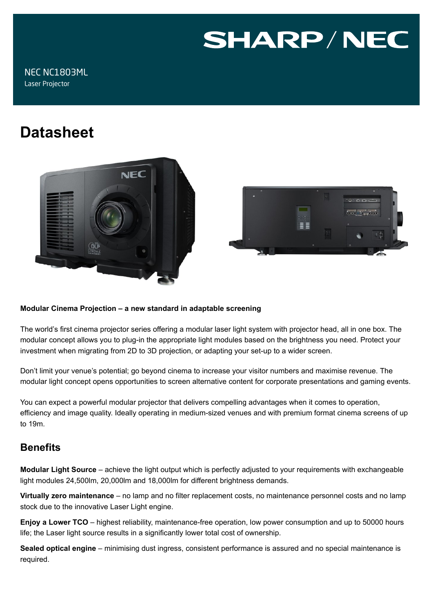# **SHARP/NEC**

# **Datasheet**





#### **Modular Cinema Projection – a new standard in adaptable screening**

The world's first cinema projector series offering a modular laser light system with projector head, all in one box. The modular concept allows you to plug-in the appropriate light modules based on the brightness you need. Protect your investment when migrating from 2D to 3D projection, or adapting your set-up to a wider screen.

Don't limit your venue's potential; go beyond cinema to increase your visitor numbers and maximise revenue. The modular light concept opens opportunities to screen alternative content for corporate presentations and gaming events.

You can expect a powerful modular projector that delivers compelling advantages when it comes to operation, efficiency and image quality. Ideally operating in medium-sized venues and with premium format cinema screens of up to 19m.

# **Benefits**

**Modular Light Source** – achieve the light output which is perfectly adjusted to your requirements with exchangeable light modules 24,500lm, 20,000lm and 18,000lm for different brightness demands.

**Virtually zero maintenance** – no lamp and no filter replacement costs, no maintenance personnel costs and no lamp stock due to the innovative Laser Light engine.

**Enjoy a Lower TCO** – highest reliability, maintenance-free operation, low power consumption and up to 50000 hours life; the Laser light source results in a significantly lower total cost of ownership.

**Sealed optical engine** – minimising dust ingress, consistent performance is assured and no special maintenance is required.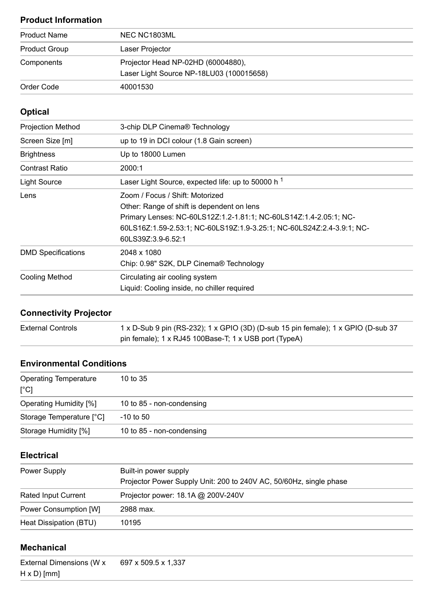### **Product Information**

| <b>Product Name</b>  | NEC NC1803ML                             |
|----------------------|------------------------------------------|
| <b>Product Group</b> | Laser Projector                          |
| Components           | Projector Head NP-02HD (60004880),       |
|                      | Laser Light Source NP-18LU03 (100015658) |
| Order Code           | 40001530                                 |

# **Optical**

| <b>Projection Method</b>  | 3-chip DLP Cinema® Technology                                                                                                                                                                                                                     |
|---------------------------|---------------------------------------------------------------------------------------------------------------------------------------------------------------------------------------------------------------------------------------------------|
| Screen Size [m]           | up to 19 in DCI colour (1.8 Gain screen)                                                                                                                                                                                                          |
| <b>Brightness</b>         | Up to 18000 Lumen                                                                                                                                                                                                                                 |
| Contrast Ratio            | 2000:1                                                                                                                                                                                                                                            |
| <b>Light Source</b>       | Laser Light Source, expected life: up to 50000 h <sup>1</sup>                                                                                                                                                                                     |
| Lens                      | Zoom / Focus / Shift: Motorized<br>Other: Range of shift is dependent on lens<br>Primary Lenses: NC-60LS12Z:1.2-1.81:1; NC-60LS14Z:1.4-2.05:1; NC-<br>60LS16Z:1.59-2.53:1; NC-60LS19Z:1.9-3.25:1; NC-60LS24Z:2.4-3.9:1; NC-<br>60LS39Z:3.9-6.52:1 |
| <b>DMD Specifications</b> | 2048 x 1080<br>Chip: 0.98" S2K, DLP Cinema® Technology                                                                                                                                                                                            |
| <b>Cooling Method</b>     | Circulating air cooling system<br>Liquid: Cooling inside, no chiller required                                                                                                                                                                     |

# **Connectivity Projector**

| <b>External Controls</b> | 1 x D-Sub 9 pin (RS-232); 1 x GPIO (3D) (D-sub 15 pin female); 1 x GPIO (D-sub 37 |
|--------------------------|-----------------------------------------------------------------------------------|
|                          | pin female); 1 x RJ45 100Base-T; 1 x USB port (TypeA)                             |

# **Environmental Conditions**

| <b>Operating Temperature</b><br>[°C] | 10 to $35$                |
|--------------------------------------|---------------------------|
| <b>Operating Humidity [%]</b>        | 10 to 85 - non-condensing |
| Storage Temperature [°C]             | $-10$ to 50               |
| Storage Humidity [%]                 | 10 to 85 - non-condensing |

# **Electrical**

| Power Supply           | Built-in power supply<br>Projector Power Supply Unit: 200 to 240V AC, 50/60Hz, single phase |
|------------------------|---------------------------------------------------------------------------------------------|
| Rated Input Current    | Projector power: 18.1A @ 200V-240V                                                          |
| Power Consumption [W]  | 2988 max.                                                                                   |
| Heat Dissipation (BTU) | 10195                                                                                       |

#### **Mechanical**

| External Dimensions (W x | 697 x 509.5 x 1,337 |
|--------------------------|---------------------|
| $H \times D$ [mm]        |                     |